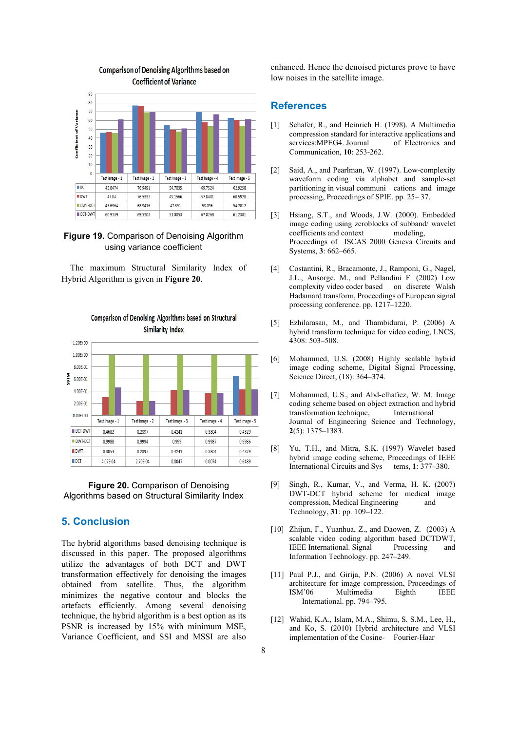

#### **Comparison of Denoising Algorithms based on Coefficient of Variance**

### **Figure 19.** Comparison of Denoising Algorithm using variance coefficient

The maximum Structural Similarity Index of Hybrid Algorithm is given in **Figure 20**.



# Comparison of Denoising Algorithms based on Structural **Similarity Index**

#### **Figure 20.** Comparison of Denoising Algorithms based on Structural Similarity Index

## **5. Conclusion**

 Variance Coefficient, and SSI and MSSI are also The hybrid algorithms based denoising technique is discussed in this paper. The proposed algorithms utilize the advantages of both DCT and DWT transformation effectively for denoising the images obtained from satellite. Thus, the algorithm minimizes the negative contour and blocks the artefacts efficiently. Among several denoising technique, the hybrid algorithm is a best option as its PSNR is increased by 15% with minimum MSE,

enhanced. Hence the denoised pictures prove to have low noises in the satellite image.

## **References**

- [1] Schafer, R., and Heinrich H. (1998). A Multimedia compression standard for interactive applications and services: MPEG4. Journal of Electronics and Communication, **10**: 253-262.
- [2] Said, A., and Pearlman, W. (1997). Low-complexity waveform coding via alphabet and sample-set partitioning in visual communi cations and image processing, Proceedings of SPIE. pp. 25– 37.
- [3] Hsiang, S.T., and Woods, J.W. (2000). Embedded image coding using zeroblocks of subband/ wavelet coefficients and context modeling, Proceedings of ISCAS 2000 Geneva Circuits and Systems, **3**: 662–665.
- [4] Costantini, R., Bracamonte, J., Ramponi, G., Nagel, J.L., Ansorge, M., and Pellandini F. (2002) Low complexity video coder based on discrete Walsh Hadamard transform, Proceedings of European signal processing conference. pp. 1217–1220.
- [5] Ezhilarasan, M., and Thambidurai, P. (2006) A hybrid transform technique for video coding, LNCS, 4308: 503–508.
- [6] Mohammed, U.S. (2008) Highly scalable hybrid image coding scheme, Digital Signal Processing, Science Direct, (18): 364–374.
- [7] Mohammed, U.S., and Abd-elhafiez, W. M. Image coding scheme based on object extraction and hybrid transformation technique, International Journal of Engineering Science and Technology, **2**(5): 1375–1383.
- [8] Yu, T.H., and Mitra, S.K. (1997) Wavelet based hybrid image coding scheme, Proceedings of IEEE International Circuits and Sys tems, **1**: 377–380.
- [9] Singh, R., Kumar, V., and Verma, H. K. (2007) DWT-DCT hybrid scheme for medical image compression, Medical Engineering and Technology, **31**: pp. 109–122.
- [10] Zhijun, F., Yuanhua, Z., and Daowen, Z. (2003) A scalable video coding algorithm based DCTDWT, IEEE International. Signal Processing and Information Technology. pp. 247–249.
- [11] Paul P.J., and Girija, P.N. (2006) A novel VLSI architecture for image compression, Proceedings of<br>
ISM'06 Multimedia Eighth IEEE Multimedia International. pp. 794–795.
- [12] Wahid, K.A., Islam, M.A., Shimu, S. S.M., Lee, H., and Ko, S. (2010) Hybrid architecture and VLSI implementation of the Cosine- Fourier-Haar